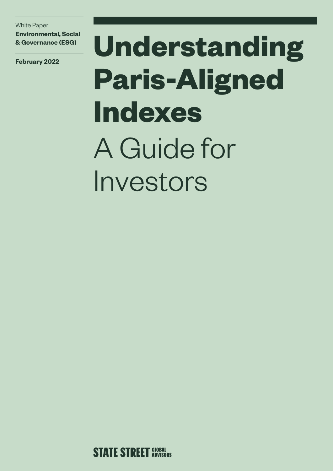White Paper **Environmental, Social & Governance (ESG)**

**February 2022**

# **Understanding Paris-Aligned Indexes** A Guide for Investors

**STATE STREET GLOBAL**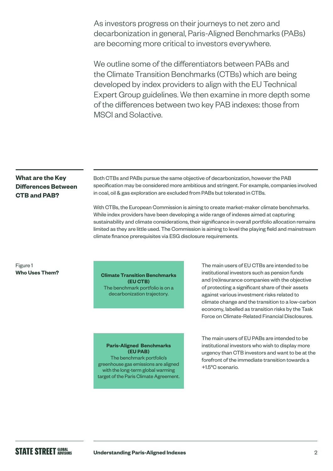As investors progress on their journeys to net zero and decarbonization in general, Paris-Aligned Benchmarks (PABs) are becoming more critical to investors everywhere.

We outline some of the differentiators between PABs and the Climate Transition Benchmarks (CTBs) which are being developed by index providers to align with the EU Technical Expert Group guidelines. We then examine in more depth some of the differences between two key PAB indexes: those from MSCI and Solactive.

### **What are the Key Differences Between CTB and PAB?**

Both CTBs and PABs pursue the same objective of decarbonization, however the PAB specification may be considered more ambitious and stringent. For example, companies involved in coal, oil & gas exploration are excluded from PABs but tolerated in CTBs.

With CTBs, the European Commission is aiming to create market-maker climate benchmarks. While index providers have been developing a wide range of indexes aimed at capturing sustainability and climate considerations, their significance in overall portfolio allocation remains limited as they are little used. The Commission is aiming to level the playing field and mainstream climate finance prerequisites via ESG disclosure requirements.

#### Figure 1 **Who Uses Them?**

**Climate Transition Benchmarks (EU CTB)** The benchmark portfolio is on a decarbonization trajectory.

**Paris-Aligned Benchmarks (EU PAB)** The benchmark portfolio's greenhouse gas emissions are aligned with the long-term global warming target of the Paris Climate Agreement.

The main users of EU CTBs are intended to be institutional investors such as pension funds and (re)insurance companies with the objective of protecting a significant share of their assets against various investment risks related to climate change and the transition to a low-carbon economy, labelled as transition risks by the Task Force on Climate-Related Financial Disclosures.

The main users of EU PABs are intended to be institutional investors who wish to display more urgency than CTB investors and want to be at the forefront of the immediate transition towards a +1.5°C scenario.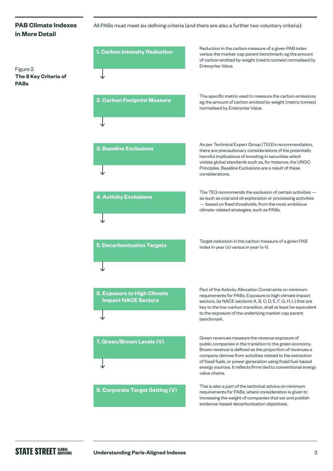### **PAB Climate Indexes in More Detail**

Figure 2 **The 8 Key Criteria of PABs**

#### All PABs must meet six defining criteria (and there are also a further two voluntary criteria):

| 1. Carbon Intensity Reduction                                    | Reduction in the carbon measure of a given PAB index<br>versus the market-cap parent benchmark; eg the amount<br>of carbon emitted by weight (metric tonnes) normalised by<br>Enterprise Value.                                                                                                                                                                                       |
|------------------------------------------------------------------|---------------------------------------------------------------------------------------------------------------------------------------------------------------------------------------------------------------------------------------------------------------------------------------------------------------------------------------------------------------------------------------|
| 2. Carbon Footprint Measure                                      | The specific metric used to measure the carbon emissions;<br>eg the amount of carbon emitted by weight (metric tonnes)<br>normalised by Enterprise Value.                                                                                                                                                                                                                             |
| <b>3. Baseline Exclusions</b>                                    | As per Technical Expert Group (TEG)'s recommendation,<br>there are precautionary considerations of the potentially<br>harmful implications of investing in securities which<br>violate global standards such as, for instance, the UNGC<br>Principles. Baseline Exclusions are a result of these<br>considerations.                                                                   |
| <b>4. Activity Exclusions</b>                                    | The TEG recommends the exclusion of certain activities -<br>as such as coal and oil exploration or processing activities<br>- based on fixed thresholds, from the most ambitious<br>climate-related strategies, such as PABs.                                                                                                                                                         |
| <b>5. Decarbonization Targets</b>                                | Target reduction in the carbon measure of a given PAB<br>index in year $(x)$ versus in year $(x-1)$ .                                                                                                                                                                                                                                                                                 |
| <b>6. Exposure to High Climate</b><br><b>Impact NACE Sectors</b> | Part of the Activity Allocation Constraints on minimum<br>requirements for PABs. Exposure to high climate impact<br>sectors, (ie NACE sections A, B, C, D, E, F, G, H, L) that are<br>key to the low-carbon transition, shall at least be equivalent<br>to the exposure of the underlying market-cap parent<br>benchmark.                                                             |
| 7. Green/Brown Levels (V)                                        | Green revenues measure the revenue exposure of<br>public companies in the transition to the green economy.<br>Brown revenue is defined as the proportion of revenues a<br>company derives from activities related to the extraction<br>of fossil fuels, or power generation using fossil fuel-based<br>energy sources. It reflects firms tied to conventional energy<br>value chains. |
| <b>8. Corporate Target Setting (V)</b>                           | This is also a part of the technical advice on minimum<br>requirements for PABs, where consideration is given to<br>increasing the weight of companies that set and publish<br>evidence-based decarbonisation objectives.                                                                                                                                                             |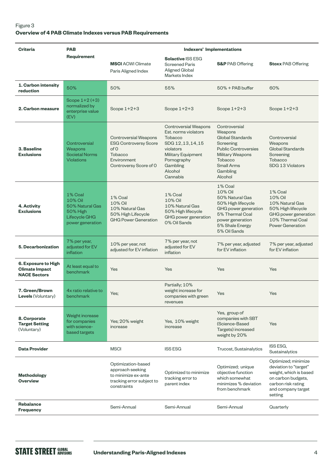#### Figure 3 **Overview of 4 PAB Climate Indexes versus PAB Requirements**

| <b>Criteria</b>                                                     | <b>PAB</b>                                                                             | <b>Indexers' Implementations</b>                                                                                         |                                                                                                                                                                            |                                                                                                                                                                            |                                                                                                                                                     |
|---------------------------------------------------------------------|----------------------------------------------------------------------------------------|--------------------------------------------------------------------------------------------------------------------------|----------------------------------------------------------------------------------------------------------------------------------------------------------------------------|----------------------------------------------------------------------------------------------------------------------------------------------------------------------------|-----------------------------------------------------------------------------------------------------------------------------------------------------|
|                                                                     | <b>Requirement</b>                                                                     | <b>MSCI</b> ACWI Climate<br>Paris Aligned Index                                                                          | <b>Solactive ISS ESG</b><br><b>Screened Paris</b><br>Aligned Global<br>Markets Index                                                                                       | <b>S&amp;P</b> PAB Offering                                                                                                                                                | <b>Stoxx PAB Offering</b>                                                                                                                           |
| 1. Carbon intensity<br>reduction                                    | 50%                                                                                    | 50%                                                                                                                      | 55%                                                                                                                                                                        | $50\% + PAB$ buffer                                                                                                                                                        | 60%                                                                                                                                                 |
| 2. Carbon measure                                                   | Scope $1+2$ (+3)<br>normalized by<br>enterprise value<br>(EV)                          | Scope $1+2+3$                                                                                                            | Scope $1+2+3$                                                                                                                                                              | Scope $1+2+3$                                                                                                                                                              | Scope $1+2+3$                                                                                                                                       |
| 3. Baseline<br><b>Exclusions</b>                                    | Controversial<br>Weapons<br>Societal Norms<br><b>Violations</b>                        | <b>Controversial Weapons</b><br><b>ESG Controversy Score</b><br>of O<br>Tobacco<br>Environment<br>Controversy Score of O | Controversial Weapons<br>Est. norms violators<br><b>Tobacco</b><br>SDG 12, 13, 14, 15<br>violators<br>Military Equipment<br>Pornography<br>Gambling<br>Alcohol<br>Cannabis | Controversial<br>Weapons<br>Global Standards<br>Screening<br><b>Public Controversies</b><br><b>Military Weapons</b><br><b>Tobacco</b><br>Small Arms<br>Gambling<br>Alcohol | Controversial<br>Weapons<br>Global Standards<br>Screening<br>Tobacco<br>SDG 13 Violators                                                            |
| 4. Activity<br><b>Exclusions</b>                                    | 1% Coal<br>10% Oil<br>50% Natural Gas<br>50% High<br>Lifecycle GHG<br>power generation | 1% Coal<br>10% Oil<br>10% Natural Gas<br>50% High Lifecycle<br><b>GHG Power Generation</b>                               | 1% Coal<br>10% Oil<br>10% Natural Gas<br>50% High lifecycle<br>GHG power generation<br>0% Oil Sands                                                                        | 1% Coal<br>10% Oil<br>50% Natural Gas<br>50% High lifecycle<br>GHG power generation<br>5% Thermal Coal<br>power generation<br>5% Shale Energy<br>5% Oil Sands              | 1% Coal<br>10% Oil<br>10% Natural Gas<br>50% High lifecycle<br>GHG power generation<br>10% Thermal Coal<br><b>Power Generation</b>                  |
| <b>5. Decarbonization</b>                                           | 7% per year,<br>adjusted for EV<br>inflation                                           | 10% per year, not<br>adjusted for EV inflation                                                                           | 7% per year, not<br>adjusted for EV<br>inflation                                                                                                                           | 7% per year, adjusted<br>for EV inflation                                                                                                                                  | 7% per year, adjusted<br>for EV inflation                                                                                                           |
| 6. Exposure to High<br><b>Climate Impact</b><br><b>NACE Sectors</b> | At least equal to<br>benchmark                                                         | Yes                                                                                                                      | Yes                                                                                                                                                                        | Yes                                                                                                                                                                        | Yes                                                                                                                                                 |
| <b>7. Green/Brown</b><br><b>Levels</b> (Voluntary)                  | 4x ratio relative to<br>benchmark                                                      | Yes;                                                                                                                     | Partially; 10%<br>weight increase for<br>companies with green<br>revenues                                                                                                  | Yes                                                                                                                                                                        | Yes                                                                                                                                                 |
| 8. Corporate<br><b>Target Setting</b><br>(Voluntary)                | Weight increase<br>for companies<br>with science-<br>based targets                     | Yes; 20% weight<br>increase                                                                                              | Yes, 10% weight<br>increase                                                                                                                                                | Yes, group of<br>companies with SBT<br>(Science-Based<br>Targets) increased<br>weight by 20%                                                                               | Yes                                                                                                                                                 |
| <b>Data Provider</b>                                                |                                                                                        | <b>MSCI</b>                                                                                                              | <b>ISS ESG</b>                                                                                                                                                             | Trucost, Sustainalytics                                                                                                                                                    | ISS ESG,<br>Sustainalytics                                                                                                                          |
| <b>Methodology</b><br><b>Overview</b>                               |                                                                                        | Optimization-based<br>approach seeking<br>to minimize ex-ante<br>tracking error subject to<br>constraints                | Optimized to minimize<br>tracking error to<br>parent index                                                                                                                 | Optimized; unique<br>objective function<br>which somewhat<br>minimizes % deviation<br>from benchmark                                                                       | Optimized; minimize<br>deviation to "target"<br>weight, which is based<br>on carbon budgets,<br>carbon risk rating<br>and company target<br>setting |
| <b>Rebalance</b><br><b>Frequency</b>                                |                                                                                        | Semi-Annual                                                                                                              | Semi-Annual                                                                                                                                                                | Semi-Annual                                                                                                                                                                | Quarterly                                                                                                                                           |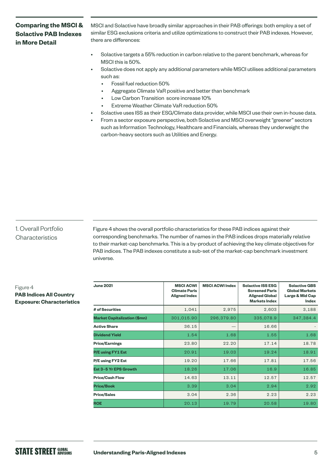## **Comparing the MSCI & Solactive PAB Indexes in More Detail**

MSCI and Solactive have broadly similar approaches in their PAB offerings: both employ a set of similar ESG exclusions criteria and utilize optimizations to construct their PAB indexes. However, there are differences:

- Solactive targets a 55% reduction in carbon relative to the parent benchmark, whereas for MSCI this is 50%.
- Solactive does not apply any additional parameters while MSCI utilises additional parameters such as:
	- Fossil fuel reduction 50%
	- Aggregate Climate VaR positive and better than benchmark
	- Low Carbon Transition score increase 10%
	- Extreme Weather Climate VaR reduction 50%
- Solactive uses ISS as their ESG/Climate data provider, while MSCI use their own in-house data.
- From a sector exposure perspective, both Solactive and MSCI overweight "greener" sectors such as Information Technology, Healthcare and Financials, whereas they underweight the carbon-heavy sectors such as Utilities and Energy.

#### 1. Overall Portfolio **Characteristics**

Figure 4 shows the overall portfolio characteristics for these PAB indices against their corresponding benchmarks. The number of names in the PAB indices drops materially relative to their market-cap benchmarks. This is a by-product of achieving the key climate objectives for PAB indices. The PAB indexes constitute a sub-set of the market-cap benchmark investment universe.

#### Figure 4 **PAB Indices All Country Exposure: Characteristics**

| <b>June 2021</b>                    | <b>MSCI ACWI</b><br><b>Climate Paris</b><br><b>Aligned Index</b> | <b>MSCI ACWI Index</b> | <b>Solactive ISS ESG</b><br><b>Screened Paris</b><br><b>Aligned Global</b><br><b>Markets Index</b> | <b>Solactive GBS</b><br><b>Global Markets</b><br>Large & Mid Cap<br>Index |
|-------------------------------------|------------------------------------------------------------------|------------------------|----------------------------------------------------------------------------------------------------|---------------------------------------------------------------------------|
| # of Securities                     | 1,041                                                            | 2,975                  | 2,603                                                                                              | 3,188                                                                     |
| <b>Market Capitalization (\$mn)</b> | 301,015.90                                                       | 296,379.80             | 335,078.9                                                                                          | 347,384.4                                                                 |
| <b>Active Share</b>                 | 36.15                                                            |                        | 16.66                                                                                              |                                                                           |
| <b>Dividend Yield</b>               | 1.54                                                             | 1.68                   | 1.55                                                                                               | 1.68                                                                      |
| <b>Price/Earnings</b>               | 23.80                                                            | 22.20                  | 17.14                                                                                              | 18.78                                                                     |
| P/E using FY1 Est                   | 20.91                                                            | 19.03                  | 19.24                                                                                              | 18.91                                                                     |
| P/E using FY2 Est                   | 19.20                                                            | 17.66                  | 17.81                                                                                              | 17.56                                                                     |
| Est 3-5 Yr EPS Growth               | 18.26                                                            | 17.06                  | 16.9                                                                                               | 16.85                                                                     |
| <b>Price/Cash Flow</b>              | 14.63                                                            | 13.11                  | 12.57                                                                                              | 12.57                                                                     |
| <b>Price/Book</b>                   | 3.39                                                             | 3.04                   | 2.94                                                                                               | 2.92                                                                      |
| <b>Price/Sales</b>                  | 3.04                                                             | 2.36                   | 2.23                                                                                               | 2.23                                                                      |
| <b>ROE</b>                          | 20.13                                                            | 19.79                  | 20.58                                                                                              | 19.80                                                                     |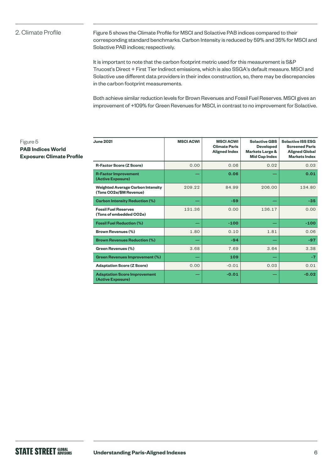#### 2. Climate Profile

Figure 5 shows the Climate Profile for MSCI and Solactive PAB indices compared to their corresponding standard benchmarks. Carbon Intensity is reduced by 59% and 35% for MSCI and Solactive PAB indices; respectively.

It is important to note that the carbon footprint metric used for this measurement is S&P Trucost's Direct + First Tier Indirect emissions, which is also SSGA's default measure. MSCI and Solactive use different data providers in their index construction, so, there may be discrepancies in the carbon footprint measurements.

Both achieve similar reduction levels for Brown Revenues and Fossil Fuel Reserves. MSCI gives an improvement of +109% for Green Revenues for MSCI, in contrast to no improvement for Solactive.

#### Figure 5 **PAB Indices World Exposure: Climate Profile**

| <b>June 2021</b>                                                    | <b>MSCI ACWI</b> | <b>MSCI ACWI</b><br><b>Climate Paris</b><br><b>Aligned Index</b> | <b>Solactive GBS</b><br><b>Developed</b><br>Markets Large &<br><b>Mid Cap Index</b> | <b>Solactive ISS ESG</b><br><b>Screened Paris</b><br><b>Aligned Global</b><br><b>Markets Index</b> |
|---------------------------------------------------------------------|------------------|------------------------------------------------------------------|-------------------------------------------------------------------------------------|----------------------------------------------------------------------------------------------------|
| <b>R-Factor Score (Z Score)</b>                                     | 0.00             | 0.06                                                             | 0.02                                                                                | 0.03                                                                                               |
| <b>R-Factor Improvement</b><br>(Active Exposure)                    |                  | 0.06                                                             |                                                                                     | 0.01                                                                                               |
| <b>Weighted Average Carbon Intensity</b><br>(Tons CO2e/\$M Revenue) | 209.22           | 84.99                                                            | 206.00                                                                              | 134.80                                                                                             |
| <b>Carbon Intensity Reduction (%)</b>                               |                  | $-59$                                                            |                                                                                     | $-35$                                                                                              |
| <b>Fossil Fuel Reserves</b><br>(Tons of embedded CO2e)              | 131.36           | 0.00                                                             | 136.17                                                                              | 0.00                                                                                               |
| <b>Fossil Fuel Reduction (%)</b>                                    |                  | $-100$                                                           |                                                                                     | $-100$                                                                                             |
| <b>Brown Revenues (%)</b>                                           | 1.80             | 0.10                                                             | 1.81                                                                                | 0.06                                                                                               |
| <b>Brown Revenues Reduction (%)</b>                                 |                  | $-94$                                                            |                                                                                     | $-97$                                                                                              |
| <b>Green Revenues (%)</b>                                           | 3.68             | 7.69                                                             | 3.64                                                                                | 3.38                                                                                               |
| <b>Green Revenues Improvement (%)</b>                               |                  | 109                                                              |                                                                                     | $-7$                                                                                               |
| <b>Adaptation Score (Z Score)</b>                                   | 0.00             | $-0.01$                                                          | 0.03                                                                                | 0.01                                                                                               |
| <b>Adaptation Score Improvement</b><br>(Active Exposure)            |                  | $-0.01$                                                          |                                                                                     | $-0.02$                                                                                            |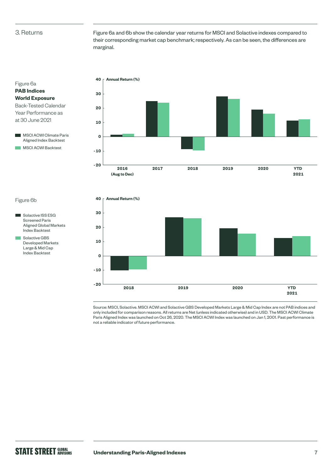#### 3. Returns

Figure 6a **PAB Indices World Exposure** 

at 30 June 2021

Figure 6a and 6b show the calendar year returns for MSCI and Solactive indexes compared to their corresponding market cap benchmark; respectively. As can be seen, the differences are marginal.



#### Figure 6b

- Solactive ISS ESG Screened Paris Aligned Global Markets Index Backtest
- Solactive GBS Developed Markets Large & Mid Cap Index Backtest



Source: MSCI, Solactive. MSCI ACWI and Solactive GBS Developed Markets Large & Mid Cap Index are not PAB indices and only included for comparison reasons. All returns are Net (unless indicated otherwise) and in USD. The MSCI ACWI Climate Paris Aligned Index was launched on Oct 26, 2020. The MSCI ACWI Index was launched on Jan 1, 2001. Past performance is not a reliable indicator of future performance.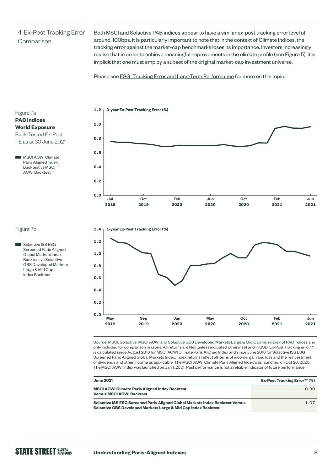# 4. Ex-Post Tracking Error Comparison

Both MSCI and Solactive PAB indices appear to have a similar ex-post tracking error level of around. 100bps. It is particularly important to note that in the context of Climate Indices, the tracking error against the market-cap benchmarks loses its importance. Investors increasingly realise that in order to achieve meaningful improvements in the climate profile (see Figure 5), it is implicit that one must employ a subset of the original market-cap investment universe.

Please see [ESG, Tracking Error and Long-Term Performance](https://www.ssga.com/library-content/pdfs/global/esg-tracking-error-long-term-performance.pdf) for more on this topic.

#### Figure 7a **PAB Indices World Exposure**

Back-Tested Ex-Post

TE as at 30 June 2021

 MSCI ACWI Climate Paris Aligned Index Backtest vs MSCI ACWI Backtest



#### Figure 7b

Solactive ISS ESG Screened Paris Aligned Global Markets Index Backtest vs Solactive GBS Developed Markets Large & Mid Cap Index Backtest



Source: MSCI, Solactive. MSCI ACWI and Solactive GBS Developed Markets Large & Mid Cap Index are not PAB indices and only included for comparison reasons. All returns are Net (unless indicated otherwise) and in USD. Ex-Post Tracking error\*\* is calculated since August 2016 for MSCI ACWI Climate Paris Aligned Index and since June 2018 for Solactive ISS ESG Screened Paris Aligned Global Markets Index. Index returns reflect all items of income, gain and loss and the reinvestment of dividends and other income as applicable. The MSCI ACWI Climate Paris Aligned Index was launched on Oct 26, 2020. The MSCI ACWI Index was launched on Jan 1, 2001. Past performance is not a reliable indicator of future performance.

| <b>June 2021</b>                                                                                                                                | <b>Ex-Post Tracking Error** (%)</b> |
|-------------------------------------------------------------------------------------------------------------------------------------------------|-------------------------------------|
| <b>MSCI ACWI Climate Paris Aligned Index Backtest</b><br><b>Versus MSCI ACWI Backtest</b>                                                       | 0.90                                |
| Solactive ISS ESG Screened Paris Aligned Global Markets Index Backtest Versus<br>Solactive GBS Developed Markets Large & Mid Cap Index Backtest | 1.07                                |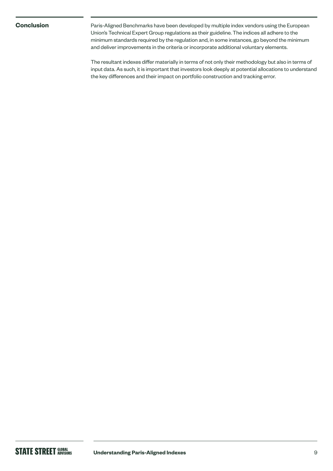**Conclusion** Paris-Aligned Benchmarks have been developed by multiple index vendors using the European Union's Technical Expert Group regulations as their guideline. The indices all adhere to the minimum standards required by the regulation and, in some instances, go beyond the minimum and deliver improvements in the criteria or incorporate additional voluntary elements.

> The resultant indexes differ materially in terms of not only their methodology but also in terms of input data. As such, it is important that investors look deeply at potential allocations to understand the key differences and their impact on portfolio construction and tracking error.